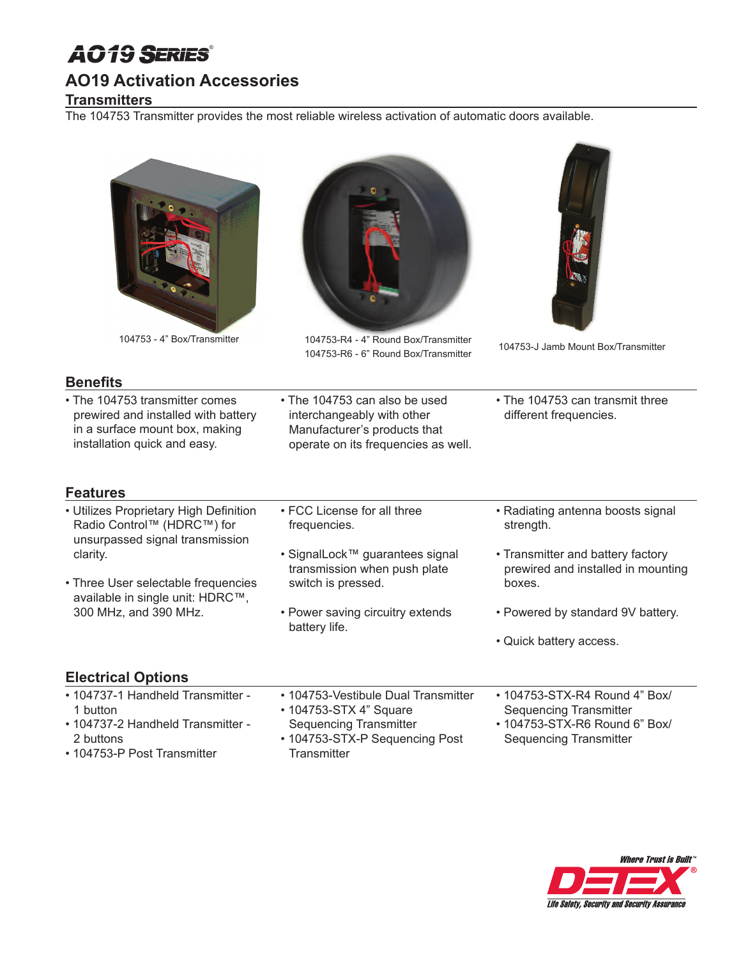# *AO19* ®

### **AO19 Activation Accessories**

### **Transmitters**

The 104753 Transmitter provides the most reliable wireless activation of automatic doors available.

| ۵ |  |  |
|---|--|--|
|   |  |  |



104753 - 4" Box/Transmitter 104753-R4 - 4" Round Box/Transmitter 104753-R6 - 6" Round Box/Transmitter 104753-J Jamb Mount Box/Transmitter



### **Benefits**

- The 104753 transmitter comes prewired and installed with battery in a surface mount box, making installation quick and easy.
- The 104753 can also be used interchangeably with other Manufacturer's products that operate on its frequencies as well.
- The 104753 can transmit three different frequencies.

## **Features**

- Utilizes Proprietary High Definition Radio Control™ (HDRC™) for unsurpassed signal transmission clarity.
- Three User selectable frequencies available in single unit: HDRC™, 300 MHz, and 390 MHz.
- FCC License for all three frequencies.
- SignalLock™ guarantees signal transmission when push plate switch is pressed.
- Power saving circuitry extends battery life.
- Radiating antenna boosts signal strength.
- Transmitter and battery factory prewired and installed in mounting boxes.
- Powered by standard 9V battery.
- Quick battery access.

### **Electrical Options**

| • 104737-1 Handheld Transmitter - | • 104753-Vestibule Dual Transmitter | • 104753-STX-R4 Round 4" Box/ |
|-----------------------------------|-------------------------------------|-------------------------------|
| 1 button                          | • 104753-STX 4" Square              | <b>Sequencing Transmitter</b> |
| • 104737-2 Handheld Transmitter - | Sequencing Transmitter              | • 104753-STX-R6 Round 6" Box/ |
| 2 buttons                         | • 104753-STX-P Sequencing Post      | <b>Sequencing Transmitter</b> |
| • 104753-P Post Transmitter       | Transmitter                         |                               |